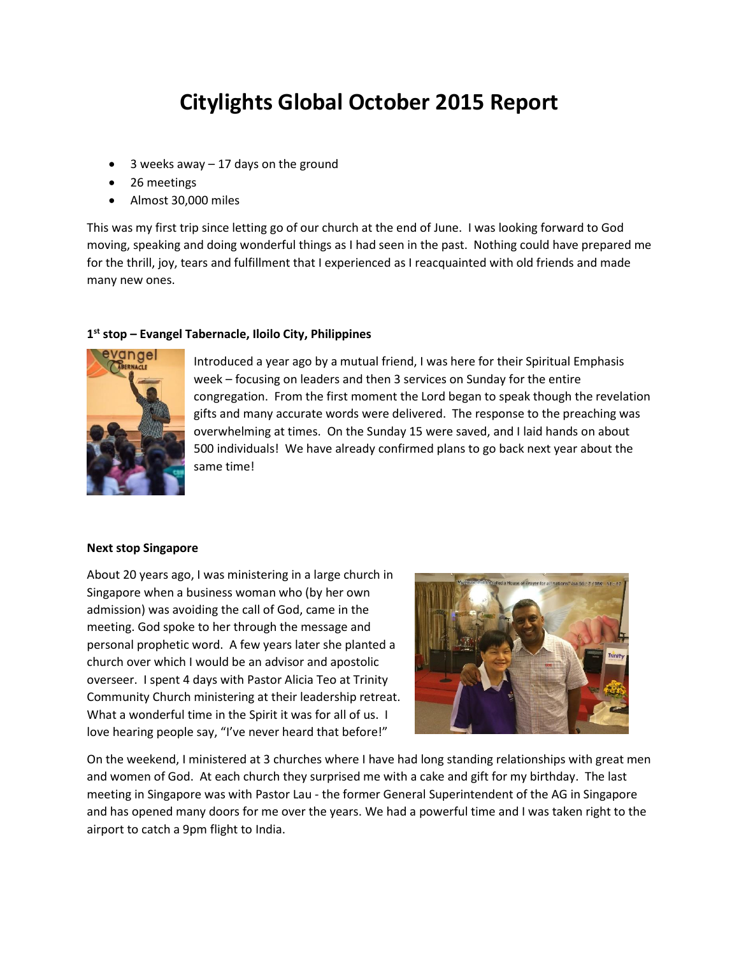## **Citylights Global October 2015 Report**

- $\bullet$  3 weeks away 17 days on the ground
- 26 meetings
- Almost 30,000 miles

This was my first trip since letting go of our church at the end of June. I was looking forward to God moving, speaking and doing wonderful things as I had seen in the past. Nothing could have prepared me for the thrill, joy, tears and fulfillment that I experienced as I reacquainted with old friends and made many new ones.

## **1 st stop – Evangel Tabernacle, Iloilo City, Philippines**



Introduced a year ago by a mutual friend, I was here for their Spiritual Emphasis week – focusing on leaders and then 3 services on Sunday for the entire congregation. From the first moment the Lord began to speak though the revelation gifts and many accurate words were delivered. The response to the preaching was overwhelming at times. On the Sunday 15 were saved, and I laid hands on about 500 individuals! We have already confirmed plans to go back next year about the same time!

## **Next stop Singapore**

About 20 years ago, I was ministering in a large church in Singapore when a business woman who (by her own admission) was avoiding the call of God, came in the meeting. God spoke to her through the message and personal prophetic word. A few years later she planted a church over which I would be an advisor and apostolic overseer. I spent 4 days with Pastor Alicia Teo at Trinity Community Church ministering at their leadership retreat. What a wonderful time in the Spirit it was for all of us. I love hearing people say, "I've never heard that before!"



On the weekend, I ministered at 3 churches where I have had long standing relationships with great men and women of God. At each church they surprised me with a cake and gift for my birthday. The last meeting in Singapore was with Pastor Lau - the former General Superintendent of the AG in Singapore and has opened many doors for me over the years. We had a powerful time and I was taken right to the airport to catch a 9pm flight to India.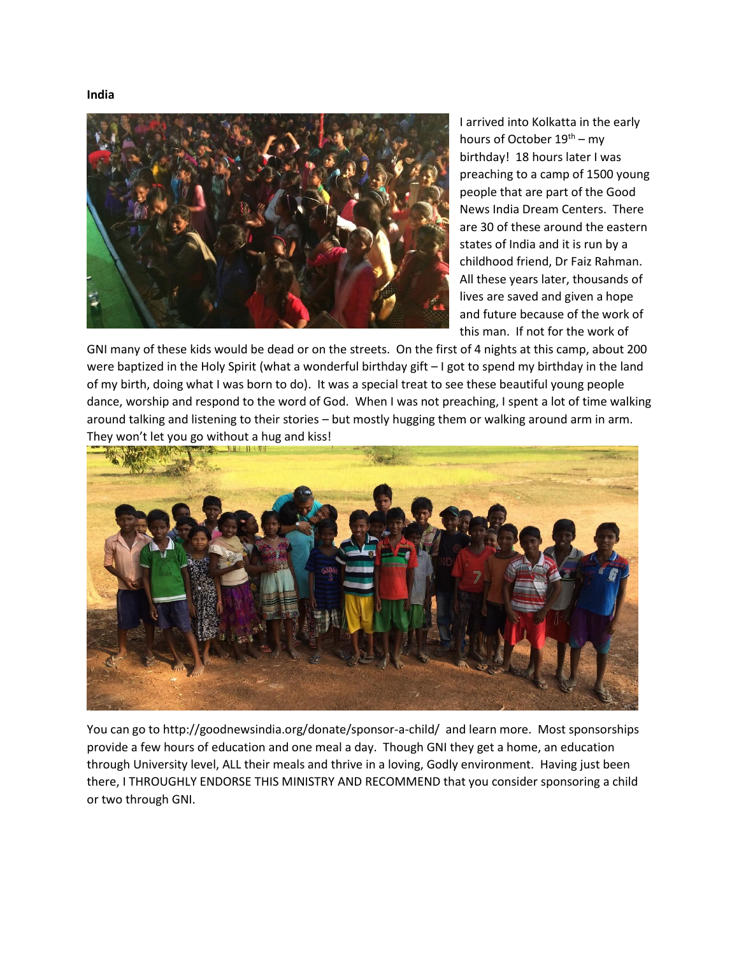**India**



I arrived into Kolkatta in the early hours of October 19<sup>th</sup> – my birthday! 18 hours later I was preaching to a camp of 1500 young people that are part of the Good News India Dream Centers. There are 30 of these around the eastern states of India and it is run by a childhood friend, Dr Faiz Rahman. All these years later, thousands of lives are saved and given a hope and future because of the work of this man. If not for the work of

GNI many of these kids would be dead or on the streets. On the first of 4 nights at this camp, about 200 were baptized in the Holy Spirit (what a wonderful birthday gift – I got to spend my birthday in the land of my birth, doing what I was born to do). It was a special treat to see these beautiful young people dance, worship and respond to the word of God. When I was not preaching, I spent a lot of time walking around talking and listening to their stories – but mostly hugging them or walking around arm in arm. They won't let you go without a hug and kiss!



You can go to http://goodnewsindia.org/donate/sponsor-a-child/ and learn more. Most sponsorships provide a few hours of education and one meal a day. Though GNI they get a home, an education through University level, ALL their meals and thrive in a loving, Godly environment. Having just been there, I THROUGHLY ENDORSE THIS MINISTRY AND RECOMMEND that you consider sponsoring a child or two through GNI.